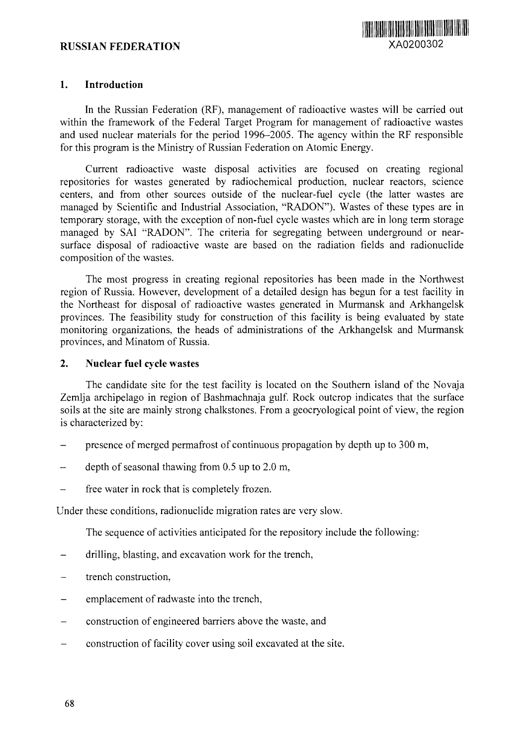# **RUSSIAN FEDERATION** XA0200302



#### **1. Introduction**

In the Russian Federation (RF), management of radioactive wastes will be carried out within the framework of the Federal Target Program for management of radioactive wastes and used nuclear materials for the period 1996-2005. The agency within the RF responsible for this program is the Ministry of Russian Federation on Atomic Energy.

Current radioactive waste disposal activities are focused on creating regional repositories for wastes generated by radiochemical production, nuclear reactors, science centers, and from other sources outside of the nuclear-fuel cycle (the latter wastes are managed by Scientific and Industrial Association, "RADON"). Wastes of these types are in temporary storage, with the exception of non-fuel cycle wastes which are in long term storage managed by SAI "RADON". The criteria for segregating between underground or nearsurface disposal of radioactive waste are based on the radiation fields and radionuclide composition of the wastes.

The most progress in creating regional repositories has been made in the Northwest region of Russia. However, development of a detailed design has begun for a test facility in the Northeast for disposal of radioactive wastes generated in Murmansk and Arkhangelsk provinces. The feasibility study for construction of this facility is being evaluated by state monitoring organizations, the heads of administrations of the Arkhangelsk and Murmansk provinces, and Minatom of Russia.

### **2. Nuclear fuel cycle wastes**

The candidate site for the test facility is located on the Southern island of the Novaja Zemlja archipelago in region of Bashmachnaja gulf. Rock outcrop indicates that the surface soils at the site are mainly strong chalkstones. From a geocryological point of view, the region is characterized by:

- presence of merged permafrost of continuous propagation by depth up to 300 m,
- depth of seasonal thawing from  $0.5$  up to  $2.0$  m,
- free water in rock that is completely frozen.

Under these conditions, radionuclide migration rates are very slow.

The sequence of activities anticipated for the repository include the following:

- drilling, blasting, and excavation work for the trench,
- trench construction,
- emplacement of radwaste into the trench,
- construction of engineered barriers above the waste, and
- construction of facility cover using soil excavated at the site.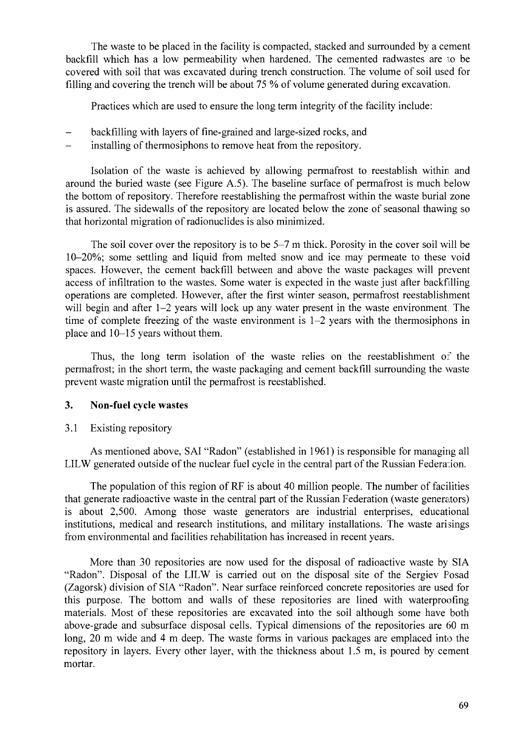The waste to be placed in the facility is compacted, stacked and surrounded by a cement backfill which has a low permeability when hardened. The cemented radwastes are to be covered with soil that was excavated during trench construction. The volume of soil used for filling and covering the trench will be about 75 % of volume generated during excavation.

Practices which are used to ensure the long term integrity of the facility include:

- backfilling with layers of fine-grained and large-sized rocks, and
- installing of thermosiphons to remove heat from the repository.

Isolation of the waste is achieved by allowing permafrost to reestablish within and around the buried waste (see Figure A.5). The baseline surface of permafrost is much below the bottom of repository. Therefore reestablishing the permafrost within the waste burial zone is assured. The sidewalls of the repository are located below the zone of seasonal thawing so that horizontal migration of radionuclides is also minimized.

The soil cover over the repository is to be 5-7 m thick. Porosity in the cover soil will be 10-20%; some settling and liquid from melted snow and ice may permeate to these void spaces. However, the cement backfill between and above the waste packages will prevent access of infiltration to the wastes. Some water is expected in the waste just after backfilling operations are completed. However, after the first winter season, permafrost reestablishment will begin and after 1–2 years will lock up any water present in the waste environment. The time of complete freezing of the waste environment is 1-2 years with the thermosiphons in place and 10-15 years without them.

Thus, the long term isolation of the waste relies on the reestablishment of the permafrost; in the short term, the waste packaging and cement backfill surrounding the waste prevent waste migration until the permafrost is reestablished.

# **3. Non-fuel cycle wastes**

# 3.1 Existing repository

As mentioned above, SAI "Radon" (established in 1961) is responsible for managing all LILW generated outside of the nuclear fuel cycle in the central part of the Russian Federation.

The population of this region of RF is about 40 million people. The number of facilities that generate radioactive waste in the central part of the Russian Federation (waste generators) is about 2,500. Among those waste generators are industrial enterprises, educational institutions, medical and research institutions, and military installations. The waste arisings from environmental and facilities rehabilitation has increased in recent years.

More than 30 repositories are now used for the disposal of radioactive waste by SIA "Radon". Disposal of the LILW is carried out on the disposal site of the Sergiev Fosad (Zagorsk) division of SIA "Radon". Near surface reinforced concrete repositories are used for this purpose. The bottom and walls of these repositories are lined with waterproofing materials. Most of these repositories are excavated into the soil although some have both above-grade and subsurface disposal cells. Typical dimensions of the repositories are 60 m long, 20 m wide and 4 m deep. The waste forms in various packages are emplaced into the repository in layers. Every other layer, with the thickness about 1.5 m, is poured by cement mortar.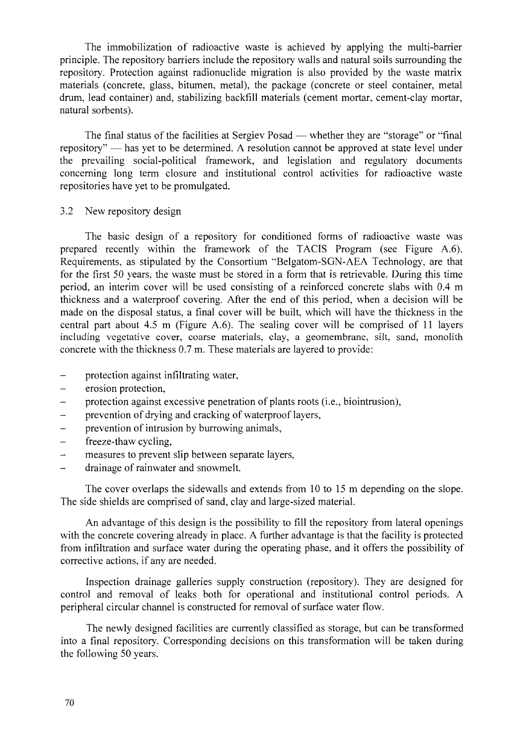The immobilization of radioactive waste is achieved by applying the multi-barrier principle. The repository barriers include the repository walls and natural soils surrounding the repository. Protection against radionuclide migration is also provided by the waste matrix materials (concrete, glass, bitumen, metal), the package (concrete or steel container, metal drum, lead container) and, stabilizing backfill materials (cement mortar, cement-clay mortar, natural sorbents).

The final status of the facilities at Sergiev Posad — whether they are "storage" or "final repository" — has yet to be determined. A resolution cannot be approved at state level under the prevailing social-political framework, and legislation and regulatory documents concerning long term closure and institutional control activities for radioactive waste repositories have yet to be promulgated.

#### 3.2 New repository design

The basic design of a repository for conditioned forms of radioactive waste was prepared recently within the framework of the TACIS Program (see Figure A.6). Requirements, as stipulated by the Consortium "Belgatom-SGN-AEA Technology, are that for the first 50 years, the waste must be stored in a form that is retrievable. During this time period, an interim cover will be used consisting of a reinforced concrete slabs with 0.4 m thickness and a waterproof covering. After the end of this period, when a decision will be made on the disposal status, a final cover will be built, which will have the thickness in the central part about 4.5 m (Figure A.6). The sealing cover will be comprised of 11 layers including vegetative cover, coarse materials, clay, a geomembrane, silt, sand, monolith concrete with the thickness 0.7 m. These materials are layered to provide:

- protection against infiltrating water,
- erosion protection,
- protection against excessive penetration of plants roots (i.e., biointrusion),  $\overline{a}$
- prevention of drying and cracking of waterproof layers,
- prevention of intrusion by burrowing animals,
- freeze-thaw cycling,
- measures to prevent slip between separate layers,
- drainage of rainwater and snowmelt.

The cover overlaps the sidewalls and extends from 10 to 15 m depending on the slope. The side shields are comprised of sand, clay and large-sized material.

An advantage of this design is the possibility to fill the repository from lateral openings with the concrete covering already in place. A further advantage is that the facility is protected from infiltration and surface water during the operating phase, and it offers the possibility of corrective actions, if any are needed.

Inspection drainage galleries supply construction (repository). They are designed for control and removal of leaks both for operational and institutional control periods. A peripheral circular channel is constructed for removal of surface water flow.

The newly designed facilities are currently classified as storage, but can be transformed into a final repository. Corresponding decisions on this transformation will be taken during the following 50 years.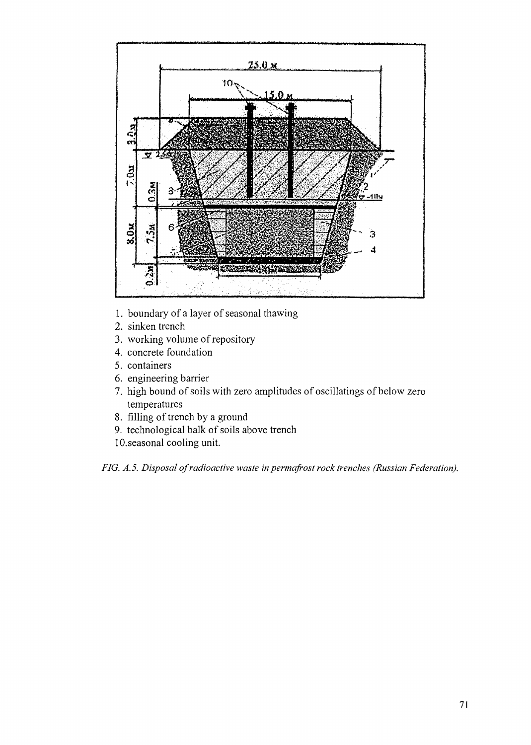

- 1. boundary of a layer of seasonal thawing
- 2. sinken trench
- 3. working volume of repository
- 4. concrete foundation
- 5. containers
- 6. engineering barrier
- 7. high bound of soils with zero amplitudes of oscillatings of below zero temperatures
- 8. filling of trench by a ground
- 9. technological balk of soils above trench
- 10. seasonal cooling unit.